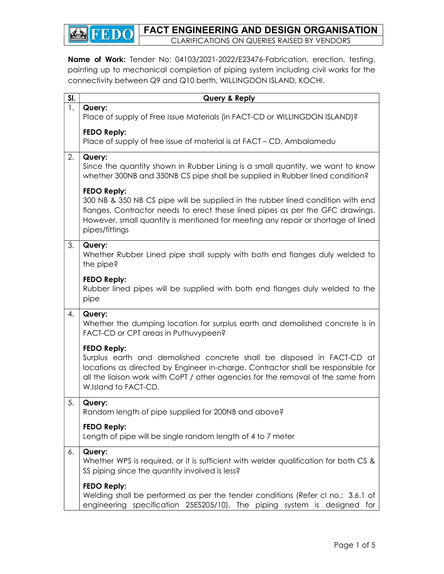FACT ENGINEERING AND DESIGN ORGANISATION

CLARIFICATIONS ON QUERIES RAISED BY VENDORS

Name of Work: Tender No: 04103/2021-2022/E23476-Fabrication, erection, testing, painting up to mechanical completion of piping system including civil works for the connectivity between Q9 and Q10 berth, WILLINGDON ISLAND, KOCHI.

ENFEDO

| SI. | Query & Reply                                                                                                                                                                                                                                                                                |
|-----|----------------------------------------------------------------------------------------------------------------------------------------------------------------------------------------------------------------------------------------------------------------------------------------------|
| 1.  | Query:<br>Place of supply of Free Issue Materials (in FACT-CD or WILLINGDON ISLAND)?                                                                                                                                                                                                         |
|     | <b>FEDO Reply:</b><br>Place of supply of free issue of material is at FACT – CD, Ambalamedu                                                                                                                                                                                                  |
| 2.  | Query:<br>Since the quantity shown in Rubber Lining is a small quantity, we want to know<br>whether 300NB and 350NB CS pipe shall be supplied in Rubber lined condition?                                                                                                                     |
|     | <b>FEDO Reply:</b><br>300 NB & 350 NB CS pipe will be supplied in the rubber lined condition with end<br>flanges. Contractor needs to erect these lined pipes as per the GFC drawings.<br>However, small quantity is mentioned for meeting any repair or shortage of lined<br>pipes/fittings |
| 3.  | Query:<br>Whether Rubber Lined pipe shall supply with both end flanges duly welded to<br>the pipe?                                                                                                                                                                                           |
|     | <b>FEDO Reply:</b><br>Rubber lined pipes will be supplied with both end flanges duly welded to the<br>pipe                                                                                                                                                                                   |
| 4.  | Query:<br>Whether the dumping location for surplus earth and demolished concrete is in<br>FACT-CD or CPT areas in Puthuvypeen?                                                                                                                                                               |
|     | <b>FEDO Reply:</b><br>Surplus earth and demolished concrete shall be disposed in FACT-CD at<br>locations as directed by Engineer in-charge. Contractor shall be responsible for<br>all the liaison work with CoPT / other agencies for the removal of the same from<br>W.Island to FACT-CD.  |
| 5.  | Query:<br>Random length of pipe supplied for 200NB and above?                                                                                                                                                                                                                                |
|     | <b>FEDO Reply:</b><br>Length of pipe will be single random length of 4 to 7 meter                                                                                                                                                                                                            |
| 6.  | Query:<br>Whether WPS is required, or it is sufficient with welder qualification for both CS &<br>SS piping since the quantity involved is less?                                                                                                                                             |
|     | <b>FEDO Reply:</b><br>Welding shall be performed as per the tender conditions (Refer cl no.: 3.6.1 of<br>engineering specification 25ES205/10), The piping system is designed for                                                                                                            |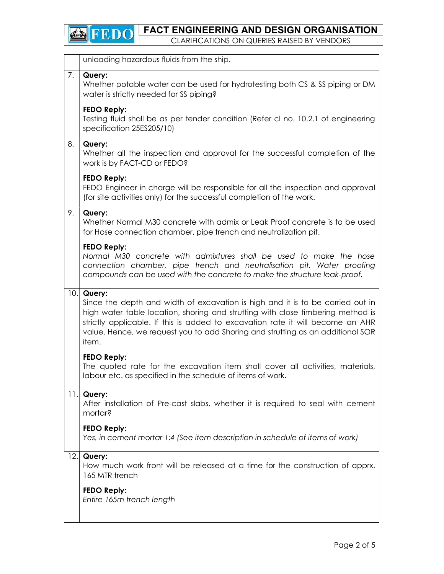

|     | unloading hazardous fluids from the ship.                                                                                                                                                                                                                                                                                                                |
|-----|----------------------------------------------------------------------------------------------------------------------------------------------------------------------------------------------------------------------------------------------------------------------------------------------------------------------------------------------------------|
| 7.  | Query:<br>Whether potable water can be used for hydrotesting both CS & SS piping or DM<br>water is strictly needed for SS piping?                                                                                                                                                                                                                        |
|     | <b>FEDO Reply:</b><br>Testing fluid shall be as per tender condition (Refer cl no. 10.2.1 of engineering<br>specification 25ES205/10)                                                                                                                                                                                                                    |
| 8.  | Query:<br>Whether all the inspection and approval for the successful completion of the<br>work is by FACT-CD or FEDO?                                                                                                                                                                                                                                    |
|     | <b>FEDO Reply:</b><br>FEDO Engineer in charge will be responsible for all the inspection and approval<br>(for site activities only) for the successful completion of the work.                                                                                                                                                                           |
| 9.  | Query:<br>Whether Normal M30 concrete with admix or Leak Proof concrete is to be used<br>for Hose connection chamber, pipe trench and neutralization pit.                                                                                                                                                                                                |
|     | <b>FEDO Reply:</b><br>Normal M30 concrete with admixtures shall be used to make the hose<br>connection chamber, pipe trench and neutralisation pit. Water proofing<br>compounds can be used with the concrete to make the structure leak-proof.                                                                                                          |
| 10. | Query:<br>Since the depth and width of excavation is high and it is to be carried out in<br>high water table location, shoring and strutting with close timbering method is<br>strictly applicable. If this is added to excavation rate it will become an AHR<br>value. Hence, we request you to add Shoring and strutting as an additional SOR<br>item. |
|     | <b>FEDO Reply:</b><br>The quoted rate for the excavation item shall cover all activities, materials,<br>labour etc. as specified in the schedule of items of work.                                                                                                                                                                                       |
| 11. | Query:<br>After installation of Pre-cast slabs, whether it is required to seal with cement<br>mortar?                                                                                                                                                                                                                                                    |
|     | <b>FEDO Reply:</b><br>Yes, in cement mortar 1:4 (See item description in schedule of items of work)                                                                                                                                                                                                                                                      |
| 12. | Query:<br>How much work front will be released at a time for the construction of apprx.<br>165 MTR trench                                                                                                                                                                                                                                                |
|     |                                                                                                                                                                                                                                                                                                                                                          |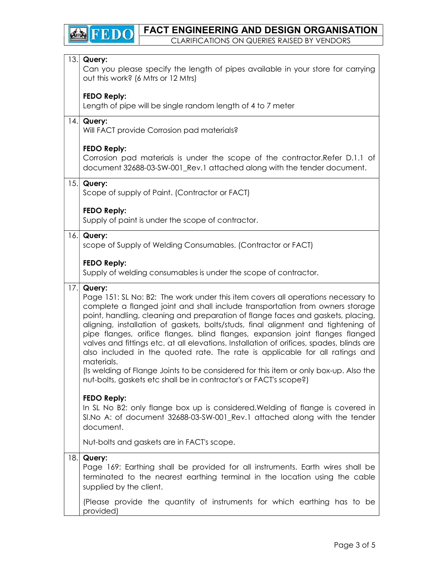# FACT ENGINEERING AND DESIGN ORGANISATION

CLARIFICATIONS ON QUERIES RAISED BY VENDORS

**B**FEDO

| 13. | Query:<br>Can you please specify the length of pipes available in your store for carrying<br>out this work? (6 Mtrs or 12 Mtrs)                                                                                                                                                                                                                                                                                                                                                                                                                                                                                                |
|-----|--------------------------------------------------------------------------------------------------------------------------------------------------------------------------------------------------------------------------------------------------------------------------------------------------------------------------------------------------------------------------------------------------------------------------------------------------------------------------------------------------------------------------------------------------------------------------------------------------------------------------------|
|     | <b>FEDO Reply:</b><br>Length of pipe will be single random length of 4 to 7 meter                                                                                                                                                                                                                                                                                                                                                                                                                                                                                                                                              |
| 4.  | Query:<br>Will FACT provide Corrosion pad materials?                                                                                                                                                                                                                                                                                                                                                                                                                                                                                                                                                                           |
|     | <b>FEDO Reply:</b><br>Corrosion pad materials is under the scope of the contractor. Refer D.1.1 of<br>document 32688-03-SW-001_Rev.1 attached along with the tender document.                                                                                                                                                                                                                                                                                                                                                                                                                                                  |
| 15. | Query:<br>Scope of supply of Paint. (Contractor or FACT)                                                                                                                                                                                                                                                                                                                                                                                                                                                                                                                                                                       |
|     | <b>FEDO Reply:</b><br>Supply of paint is under the scope of contractor.                                                                                                                                                                                                                                                                                                                                                                                                                                                                                                                                                        |
|     | 16. Query:<br>scope of Supply of Welding Consumables. (Contractor or FACT)                                                                                                                                                                                                                                                                                                                                                                                                                                                                                                                                                     |
|     | <b>FEDO Reply:</b><br>Supply of welding consumables is under the scope of contractor.                                                                                                                                                                                                                                                                                                                                                                                                                                                                                                                                          |
| 17. | Query:<br>Page 151: SL No: B2: The work under this item covers all operations necessary to<br>complete a flanged joint and shall include transportation from owners storage<br>point, handling, cleaning and preparation of flange faces and gaskets, placing,<br>aligning, installation of gaskets, bolts/studs, final alignment and tightening of<br>pipe flanges, orifice flanges, blind flanges, expansion joint flanges flanged<br>valves and fittings etc. at all elevations. Installation of orifices, spades, blinds are<br>also included in the quoted rate. The rate is applicable for all ratings and<br>materials. |
|     | (Is welding of Flange Joints to be considered for this item or only box-up. Also the<br>nut-bolts, gaskets etc shall be in contractor's or FACT's scope?)                                                                                                                                                                                                                                                                                                                                                                                                                                                                      |
|     | <b>FEDO Reply:</b><br>In SL No B2: only flange box up is considered. Welding of flange is covered in<br>SI.No A: of document 32688-03-SW-001 Rev.1 attached along with the tender<br>document.                                                                                                                                                                                                                                                                                                                                                                                                                                 |
|     | Nut-bolts and gaskets are in FACT's scope.                                                                                                                                                                                                                                                                                                                                                                                                                                                                                                                                                                                     |
| 18. | Query:<br>Page 169: Earthing shall be provided for all instruments. Earth wires shall be<br>terminated to the nearest earthing terminal in the location using the cable<br>supplied by the client.                                                                                                                                                                                                                                                                                                                                                                                                                             |
|     | (Please provide the quantity of instruments for which earthing has to be<br>provided)                                                                                                                                                                                                                                                                                                                                                                                                                                                                                                                                          |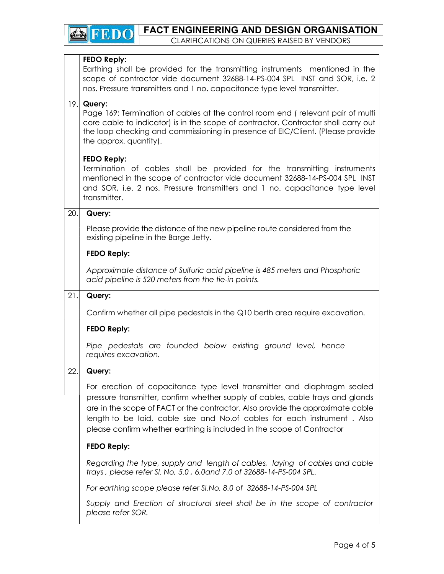## FEDO Reply:

Earthing shall be provided for the transmitting instruments mentioned in the scope of contractor vide document 32688-14-PS-004 SPL INST and SOR, i.e. 2 nos. Pressure transmitters and 1 no. capacitance type level transmitter.

## 19. Query:

Page 169: Termination of cables at the control room end ( relevant pair of multi core cable to indicator) is in the scope of contractor. Contractor shall carry out the loop checking and commissioning in presence of EIC/Client. (Please provide the approx. quantity).

## FEDO Reply:

Termination of cables shall be provided for the transmitting instruments mentioned in the scope of contractor vide document 32688-14-PS-004 SPL INST and SOR, i.e. 2 nos. Pressure transmitters and 1 no. capacitance type level transmitter.

## $20.$  Query:

Please provide the distance of the new pipeline route considered from the existing pipeline in the Barge Jetty.

## FEDO Reply:

Approximate distance of Sulfuric acid pipeline is 485 meters and Phosphoric acid pipeline is 520 meters from the tie-in points.

## $21.$  Query:

Confirm whether all pipe pedestals in the Q10 berth area require excavation.

#### FEDO Reply:

Pipe pedestals are founded below existing ground level, hence requires excavation.

## 22. Query:

For erection of capacitance type level transmitter and diaphragm sealed pressure transmitter, confirm whether supply of cables, cable trays and glands are in the scope of FACT or the contractor. Also provide the approximate cable length to be laid, cable size and No.of cables for each instrument . Also please confirm whether earthing is included in the scope of Contractor

## FEDO Reply:

Regarding the type, supply and length of cables, laying of cables and cable trays , please refer Sl. No, 5.0 , 6.0and 7.0 of 32688-14-PS-004 SPL.

For earthing scope please refer Sl.No. 8.0 of 32688-14-PS-004 SPL

Supply and Erection of structural steel shall be in the scope of contractor please refer SOR.